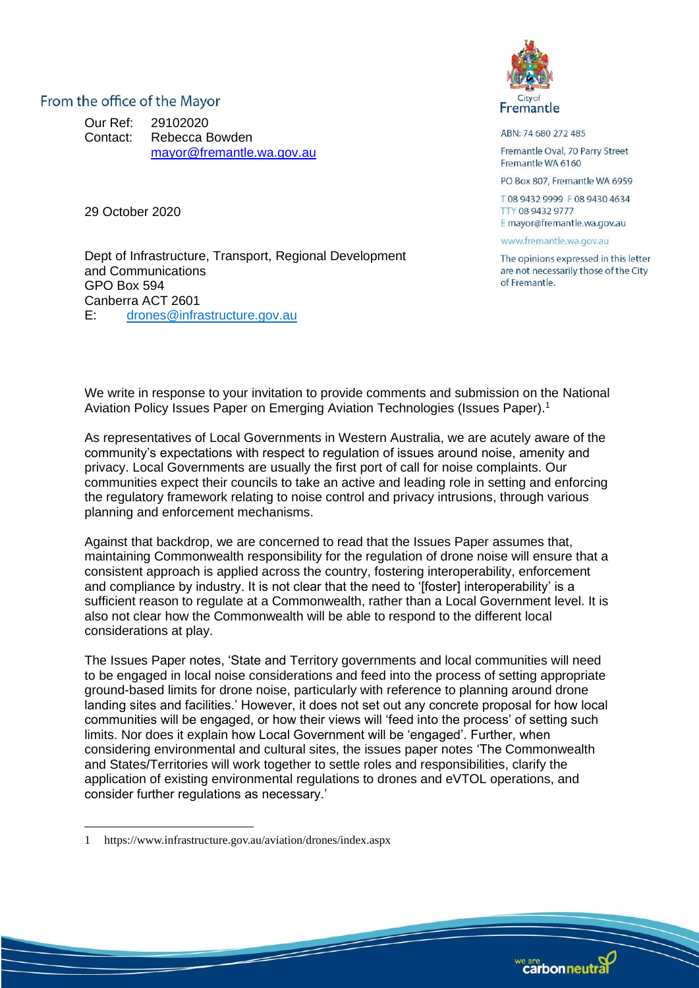From the office of the Mayor

Our Ref: 29102020 Contact: Rebecca Bowden [mayor@fremantle.wa.gov.au](mailto:mayor@fremantle.wa.gov.au)

29 October 2020

Dept of Infrastructure, Transport, Regional Development and Communications GPO Box 594 Canberra ACT 2601 E: [drones@infrastructure.gov.au](mailto:drones@infrastructure.gov.au)



ABN: 74 680 272 485

Fremantle Oval, 70 Parry Street Fremantle WA 6160

PO Box 807, Fremantle WA 6959

T08 9432 9999 F08 9430 4634 TTY 08 9432 9777 E mayor@fremantle.wa.gov.au

www.fremantle.wa.gov.au

The opinions expressed in this letter are not necessarily those of the City of Fremantle

We write in response to your invitation to provide comments and submission on the National Aviation Policy Issues Paper on Emerging Aviation Technologies (Issues Paper). 1

As representatives of Local Governments in Western Australia, we are acutely aware of the community's expectations with respect to regulation of issues around noise, amenity and privacy. Local Governments are usually the first port of call for noise complaints. Our communities expect their councils to take an active and leading role in setting and enforcing the regulatory framework relating to noise control and privacy intrusions, through various planning and enforcement mechanisms.

Against that backdrop, we are concerned to read that the Issues Paper assumes that, maintaining Commonwealth responsibility for the regulation of drone noise will ensure that a consistent approach is applied across the country, fostering interoperability, enforcement and compliance by industry. It is not clear that the need to '[foster] interoperability' is a sufficient reason to regulate at a Commonwealth, rather than a Local Government level. It is also not clear how the Commonwealth will be able to respond to the different local considerations at play.

The Issues Paper notes, 'State and Territory governments and local communities will need to be engaged in local noise considerations and feed into the process of setting appropriate ground-based limits for drone noise, particularly with reference to planning around drone landing sites and facilities.' However, it does not set out any concrete proposal for how local communities will be engaged, or how their views will 'feed into the process' of setting such limits. Nor does it explain how Local Government will be 'engaged'. Further, when considering environmental and cultural sites, the issues paper notes 'The Commonwealth and States/Territories will work together to settle roles and responsibilities, clarify the application of existing environmental regulations to drones and eVTOL operations, and consider further regulations as necessary.'

**Support of the Company's Company's Company's Company's Company's Company's Company's Company's Company's Company's Company's Company's Company's Company's Company's Company's Company's Company's Company's Company's Compan** 



<sup>1</sup> https://www.infrastructure.gov.au/aviation/drones/index.aspx